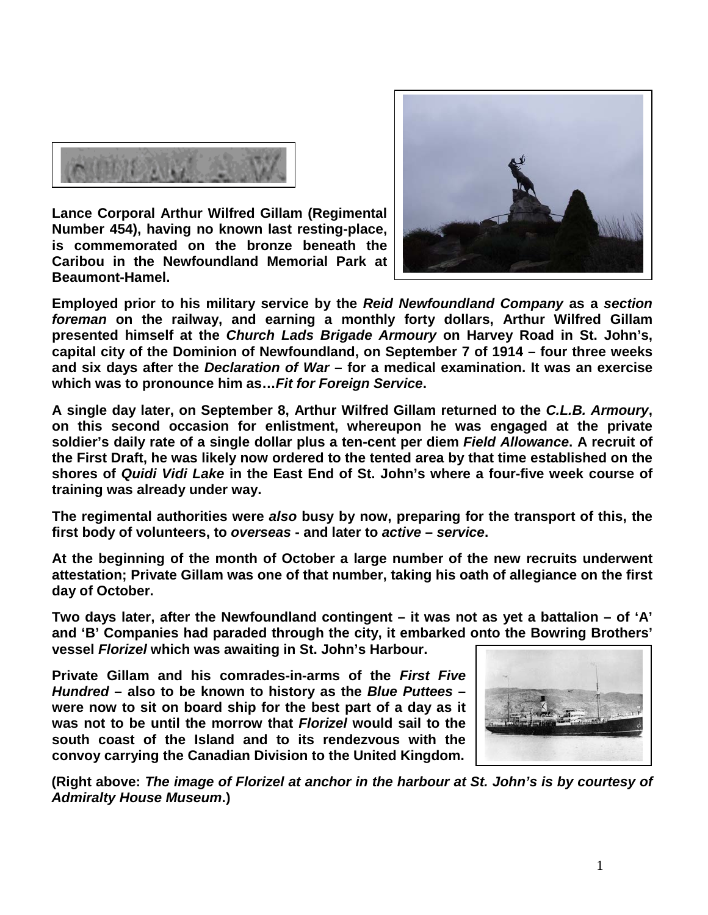

**Lance Corporal Arthur Wilfred Gillam (Regimental Number 454), having no known last resting-place, is commemorated on the bronze beneath the Caribou in the Newfoundland Memorial Park at Beaumont-Hamel.** 



**Employed prior to his military service by the** *Reid Newfoundland Company* **as a** *section foreman* **on the railway, and earning a monthly forty dollars, Arthur Wilfred Gillam presented himself at the** *Church Lads Brigade Armoury* **on Harvey Road in St. John's, capital city of the Dominion of Newfoundland, on September 7 of 1914 – four three weeks and six days after the** *Declaration of War* **– for a medical examination. It was an exercise which was to pronounce him as…***Fit for Foreign Service***.**

**A single day later, on September 8, Arthur Wilfred Gillam returned to the** *C.L.B. Armoury***, on this second occasion for enlistment, whereupon he was engaged at the private soldier's daily rate of a single dollar plus a ten-cent per diem** *Field Allowance***. A recruit of the First Draft, he was likely now ordered to the tented area by that time established on the shores of** *Quidi Vidi Lake* **in the East End of St. John's where a four-five week course of training was already under way.**

**The regimental authorities were** *also* **busy by now, preparing for the transport of this, the first body of volunteers, to** *overseas* **- and later to** *active* **–** *service***.**

**At the beginning of the month of October a large number of the new recruits underwent attestation; Private Gillam was one of that number, taking his oath of allegiance on the first day of October.**

**Two days later, after the Newfoundland contingent – it was not as yet a battalion – of 'A' and 'B' Companies had paraded through the city, it embarked onto the Bowring Brothers' vessel** *Florizel* **which was awaiting in St. John's Harbour.** 

**Private Gillam and his comrades-in-arms of the** *First Five Hundred* **– also to be known to history as the** *Blue Puttees* **– were now to sit on board ship for the best part of a day as it was not to be until the morrow that** *Florizel* **would sail to the south coast of the Island and to its rendezvous with the convoy carrying the Canadian Division to the United Kingdom.**



**(Right above:** *The image of Florizel at anchor in the harbour at St. John's is by courtesy of Admiralty House Museum***.)**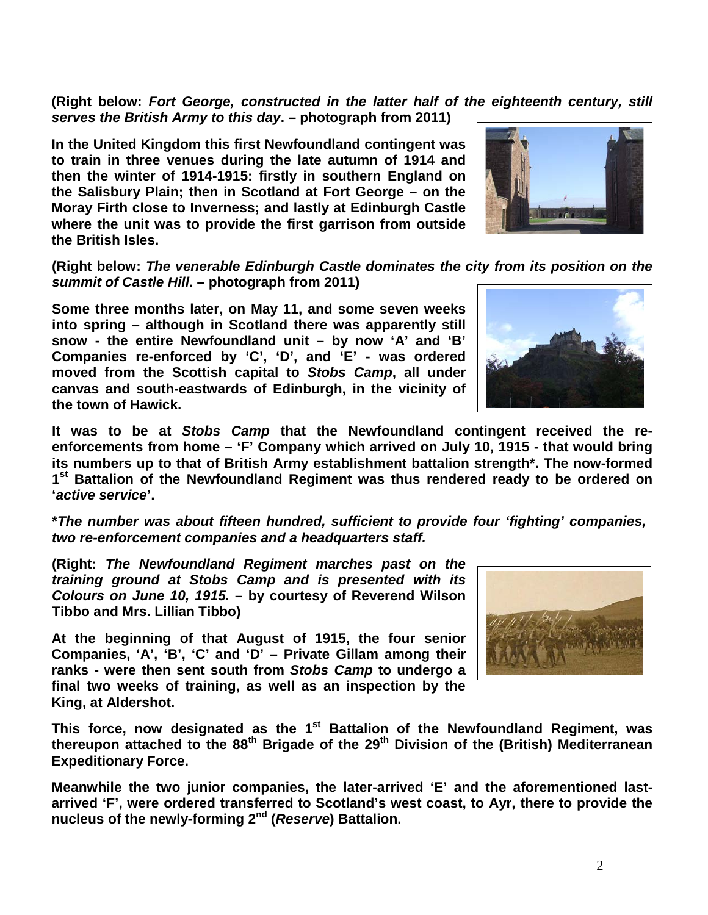**(Right below:** *Fort George, constructed in the latter half of the eighteenth century, still serves the British Army to this day***. – photograph from 2011)**

**In the United Kingdom this first Newfoundland contingent was to train in three venues during the late autumn of 1914 and then the winter of 1914-1915: firstly in southern England on the Salisbury Plain; then in Scotland at Fort George – on the Moray Firth close to Inverness; and lastly at Edinburgh Castle where the unit was to provide the first garrison from outside the British Isles.** 

**(Right below:** *The venerable Edinburgh Castle dominates the city from its position on the summit of Castle Hill***. – photograph from 2011)**

**Some three months later, on May 11, and some seven weeks into spring – although in Scotland there was apparently still snow - the entire Newfoundland unit – by now 'A' and 'B' Companies re-enforced by 'C', 'D', and 'E' - was ordered moved from the Scottish capital to** *Stobs Camp***, all under canvas and south-eastwards of Edinburgh, in the vicinity of the town of Hawick.** 

**It was to be at** *Stobs Camp* **that the Newfoundland contingent received the reenforcements from home – 'F' Company which arrived on July 10, 1915 - that would bring its numbers up to that of British Army establishment battalion strength\*. The now-formed 1st Battalion of the Newfoundland Regiment was thus rendered ready to be ordered on '***active service***'.**

**\****The number was about fifteen hundred, sufficient to provide four 'fighting' companies, two re-enforcement companies and a headquarters staff.*

**(Right:** *The Newfoundland Regiment marches past on the training ground at Stobs Camp and is presented with its Colours on June 10, 1915.* **– by courtesy of Reverend Wilson Tibbo and Mrs. Lillian Tibbo)**

**At the beginning of that August of 1915, the four senior Companies, 'A', 'B', 'C' and 'D' – Private Gillam among their ranks - were then sent south from** *Stobs Camp* **to undergo a final two weeks of training, as well as an inspection by the King, at Aldershot.** 

This force, now designated as the 1<sup>st</sup> Battalion of the Newfoundland Regiment, was **thereupon attached to the 88th Brigade of the 29th Division of the (British) Mediterranean Expeditionary Force.**

**Meanwhile the two junior companies, the later-arrived 'E' and the aforementioned lastarrived 'F', were ordered transferred to Scotland's west coast, to Ayr, there to provide the nucleus of the newly-forming 2nd (***Reserve***) Battalion.**





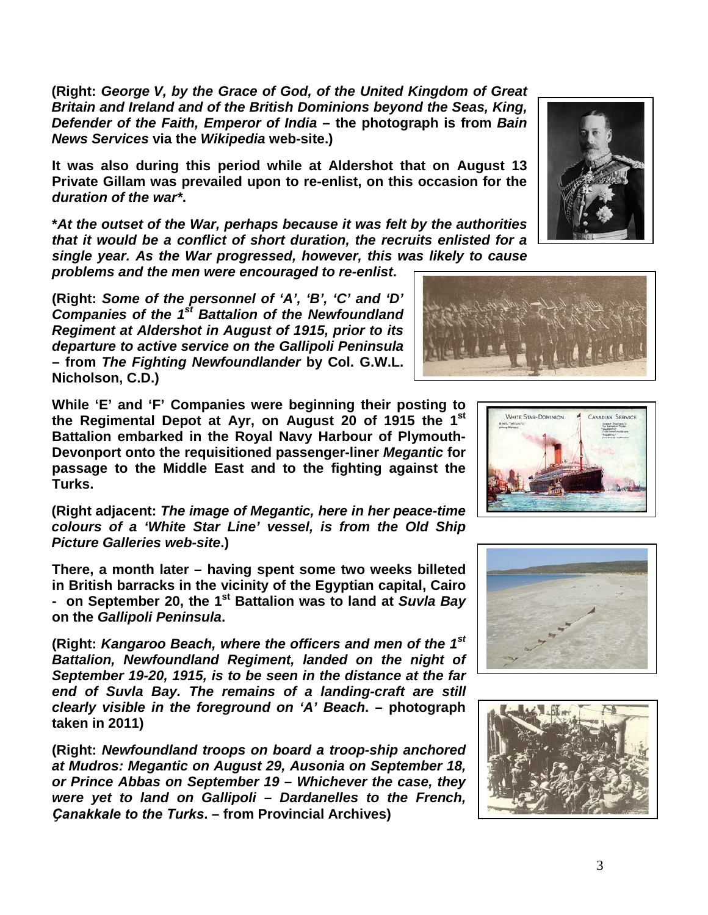**(Right:** *George V, by the Grace of God, of the United Kingdom of Great Britain and Ireland and of the British Dominions beyond the Seas, King, Defender of the Faith, Emperor of India* **– the photograph is from** *Bain News Services* **via the** *Wikipedia* **web-site.)**

**It was also during this period while at Aldershot that on August 13 Private Gillam was prevailed upon to re-enlist, on this occasion for the**  *duration of the war\****.**

**\****At the outset of the War, perhaps because it was felt by the authorities that it would be a conflict of short duration, the recruits enlisted for a single year. As the War progressed, however, this was likely to cause* 

*problems and the men were encouraged to re-enlist***.**

**(Right:** *Some of the personnel of 'A', 'B', 'C' and 'D' Companies of the 1st Battalion of the Newfoundland Regiment at Aldershot in August of 1915, prior to its departure to active service on the Gallipoli Peninsula*  **– from** *The Fighting Newfoundlander* **by Col. G.W.L. Nicholson, C.D.)**

**While 'E' and 'F' Companies were beginning their posting to the Regimental Depot at Ayr, on August 20 of 1915 the 1st Battalion embarked in the Royal Navy Harbour of Plymouth-Devonport onto the requisitioned passenger-liner** *Megantic* **for passage to the Middle East and to the fighting against the Turks.** 

**(Right adjacent:** *The image of Megantic, here in her peace-time colours of a 'White Star Line' vessel, is from the Old Ship Picture Galleries web-site***.)**

**There, a month later – having spent some two weeks billeted in British barracks in the vicinity of the Egyptian capital, Cairo - on September 20, the 1st Battalion was to land at** *Suvla Bay* **on the** *Gallipoli Peninsula***.**

**(Right:** *Kangaroo Beach, where the officers and men of the 1st Battalion, Newfoundland Regiment, landed on the night of September 19-20, 1915, is to be seen in the distance at the far end of Suvla Bay. The remains of a landing-craft are still clearly visible in the foreground on 'A' Beach***. – photograph taken in 2011)**

**(Right:** *Newfoundland troops on board a troop-ship anchored at Mudros: Megantic on August 29, Ausonia on September 18, or Prince Abbas on September 19 – Whichever the case, they were yet to land on Gallipoli – Dardanelles to the French, Ҫanakkale to the Turks***. – from Provincial Archives)**





WHITE STAR-DOMINION





ADIAN SERVICE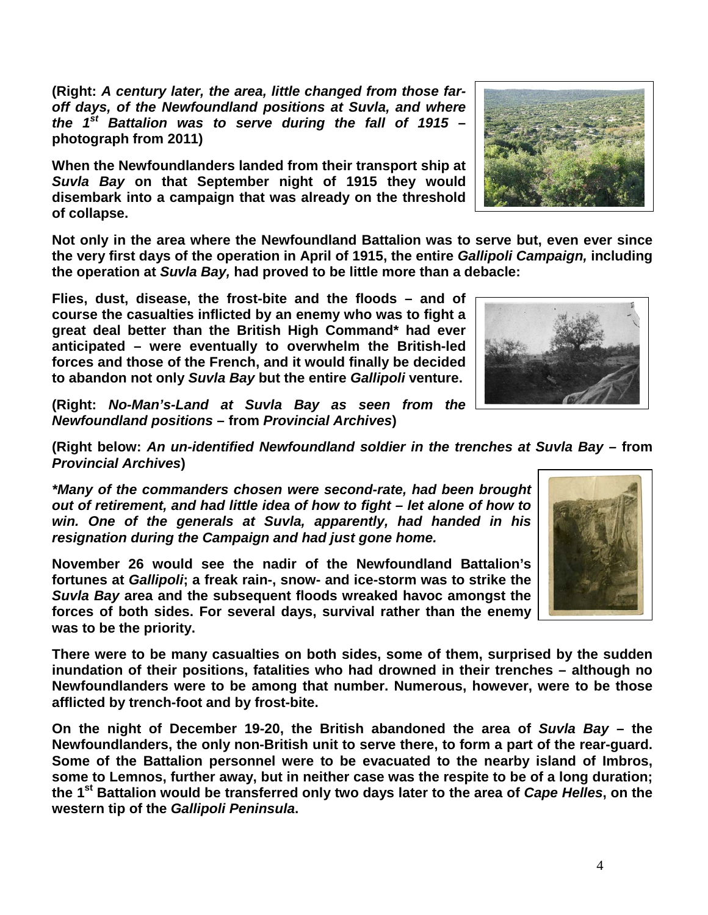**(Right:** *A century later, the area, little changed from those faroff days, of the Newfoundland positions at Suvla, and where the 1st Battalion was to serve during the fall of 1915* **– photograph from 2011)**

**When the Newfoundlanders landed from their transport ship at**  *Suvla Bay* **on that September night of 1915 they would disembark into a campaign that was already on the threshold of collapse.**

**Not only in the area where the Newfoundland Battalion was to serve but, even ever since the very first days of the operation in April of 1915, the entire** *Gallipoli Campaign,* **including the operation at** *Suvla Bay,* **had proved to be little more than a debacle:** 

**Flies, dust, disease, the frost-bite and the floods – and of course the casualties inflicted by an enemy who was to fight a great deal better than the British High Command\* had ever anticipated – were eventually to overwhelm the British-led forces and those of the French, and it would finally be decided to abandon not only** *Suvla Bay* **but the entire** *Gallipoli* **venture.**

**(Right:** *No-Man's-Land at Suvla Bay as seen from the Newfoundland positions* **– from** *Provincial Archives***)**

**(Right below:** *An un-identified Newfoundland soldier in the trenches at Suvla Bay –* **from**  *Provincial Archives***)**

*\*Many of the commanders chosen were second-rate, had been brought out of retirement, and had little idea of how to fight – let alone of how to win. One of the generals at Suvla, apparently, had handed in his resignation during the Campaign and had just gone home.* 

**November 26 would see the nadir of the Newfoundland Battalion's fortunes at** *Gallipoli***; a freak rain-, snow- and ice-storm was to strike the**  *Suvla Bay* **area and the subsequent floods wreaked havoc amongst the forces of both sides. For several days, survival rather than the enemy was to be the priority.**

**There were to be many casualties on both sides, some of them, surprised by the sudden inundation of their positions, fatalities who had drowned in their trenches – although no Newfoundlanders were to be among that number. Numerous, however, were to be those afflicted by trench-foot and by frost-bite.**

**On the night of December 19-20, the British abandoned the area of** *Suvla Bay* **– the Newfoundlanders, the only non-British unit to serve there, to form a part of the rear-guard. Some of the Battalion personnel were to be evacuated to the nearby island of Imbros, some to Lemnos, further away, but in neither case was the respite to be of a long duration; the 1st Battalion would be transferred only two days later to the area of** *Cape Helles***, on the western tip of the** *Gallipoli Peninsula***.**





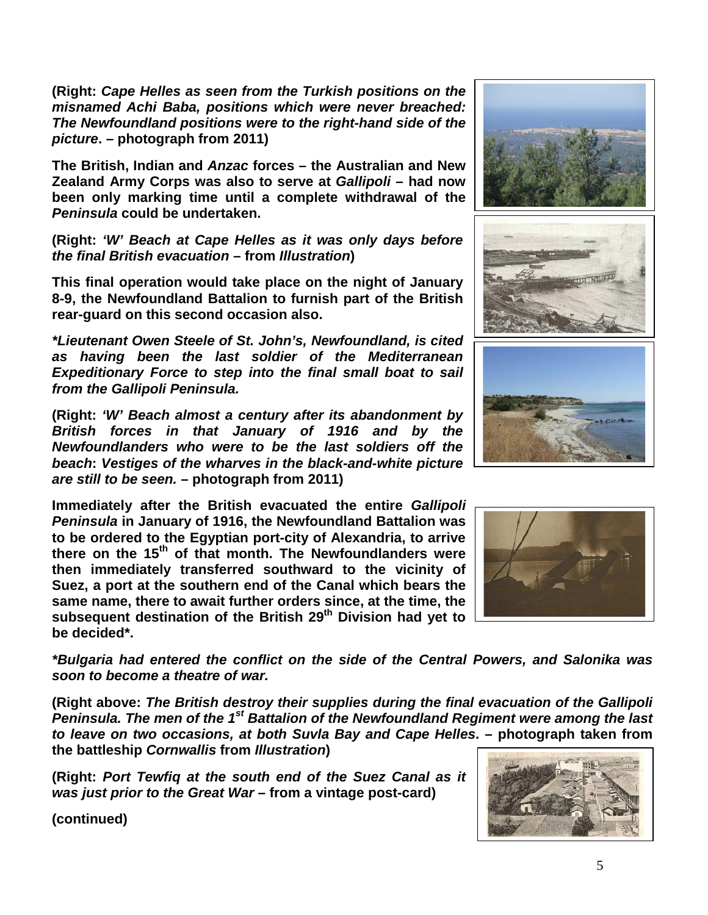**(Right:** *Cape Helles as seen from the Turkish positions on the misnamed Achi Baba, positions which were never breached: The Newfoundland positions were to the right-hand side of the picture***. – photograph from 2011)**

**The British, Indian and** *Anzac* **forces – the Australian and New Zealand Army Corps was also to serve at** *Gallipoli* **– had now been only marking time until a complete withdrawal of the**  *Peninsula* **could be undertaken.** 

**(Right:** *'W' Beach at Cape Helles as it was only days before the final British evacuation* **– from** *Illustration***)**

**This final operation would take place on the night of January 8-9, the Newfoundland Battalion to furnish part of the British rear-guard on this second occasion also.**

*\*Lieutenant Owen Steele of St. John's, Newfoundland, is cited as having been the last soldier of the Mediterranean Expeditionary Force to step into the final small boat to sail from the Gallipoli Peninsula.*

**(Right:** *'W' Beach almost a century after its abandonment by British forces in that January of 1916 and by the Newfoundlanders who were to be the last soldiers off the beach***:** *Vestiges of the wharves in the black-and-white picture are still to be seen.* **– photograph from 2011)**

**Immediately after the British evacuated the entire** *Gallipoli Peninsula* **in January of 1916, the Newfoundland Battalion was to be ordered to the Egyptian port-city of Alexandria, to arrive there on the 15th of that month. The Newfoundlanders were then immediately transferred southward to the vicinity of Suez, a port at the southern end of the Canal which bears the same name, there to await further orders since, at the time, the subsequent destination of the British 29th Division had yet to be decided\*.**

*\*Bulgaria had entered the conflict on the side of the Central Powers, and Salonika was soon to become a theatre of war.*

**(Right above:** *The British destroy their supplies during the final evacuation of the Gallipoli Peninsula. The men of the 1st Battalion of the Newfoundland Regiment were among the last to leave on two occasions, at both Suvla Bay and Cape Helles***. – photograph taken from the battleship** *Cornwallis* **from** *Illustration***)**

**(Right:** *Port Tewfiq at the south end of the Suez Canal as it was just prior to the Great War* **– from a vintage post-card)**

**(continued)**







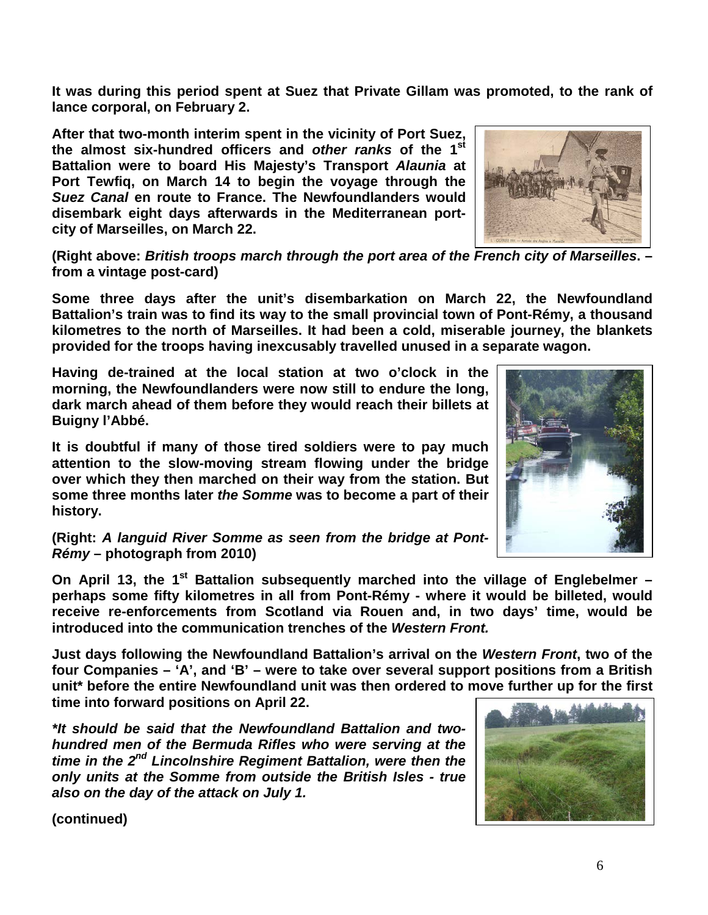**It was during this period spent at Suez that Private Gillam was promoted, to the rank of lance corporal, on February 2.**

**After that two-month interim spent in the vicinity of Port Suez, the almost six-hundred officers and** *other ranks* **of the 1st Battalion were to board His Majesty's Transport** *Alaunia* **at Port Tewfiq, on March 14 to begin the voyage through the**  *Suez Canal* **en route to France. The Newfoundlanders would disembark eight days afterwards in the Mediterranean portcity of Marseilles, on March 22.**



**(Right above:** *British troops march through the port area of the French city of Marseilles***. – from a vintage post-card)**

**Some three days after the unit's disembarkation on March 22, the Newfoundland Battalion's train was to find its way to the small provincial town of Pont-Rémy, a thousand kilometres to the north of Marseilles. It had been a cold, miserable journey, the blankets provided for the troops having inexcusably travelled unused in a separate wagon.**

**Having de-trained at the local station at two o'clock in the morning, the Newfoundlanders were now still to endure the long, dark march ahead of them before they would reach their billets at Buigny l'Abbé.**

**It is doubtful if many of those tired soldiers were to pay much attention to the slow-moving stream flowing under the bridge over which they then marched on their way from the station. But some three months later** *the Somme* **was to become a part of their history.**

**(Right:** *A languid River Somme as seen from the bridge at Pont-Rémy* **– photograph from 2010)**

**On April 13, the 1st Battalion subsequently marched into the village of Englebelmer – perhaps some fifty kilometres in all from Pont-Rémy - where it would be billeted, would receive re-enforcements from Scotland via Rouen and, in two days' time, would be introduced into the communication trenches of the** *Western Front.*

**Just days following the Newfoundland Battalion's arrival on the** *Western Front***, two of the four Companies – 'A', and 'B' – were to take over several support positions from a British unit\* before the entire Newfoundland unit was then ordered to move further up for the first time into forward positions on April 22.**

*\*It should be said that the Newfoundland Battalion and twohundred men of the Bermuda Rifles who were serving at the time in the 2nd Lincolnshire Regiment Battalion, were then the only units at the Somme from outside the British Isles - true also on the day of the attack on July 1.*





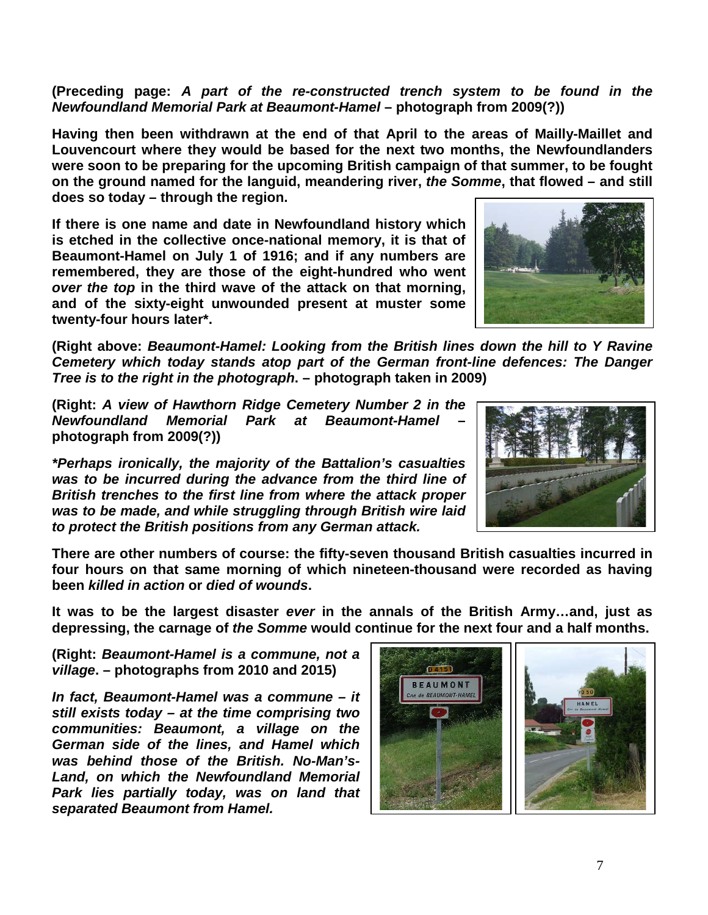**(Preceding page:** *A part of the re-constructed trench system to be found in the Newfoundland Memorial Park at Beaumont-Hamel* **– photograph from 2009(?))**

**Having then been withdrawn at the end of that April to the areas of Mailly-Maillet and Louvencourt where they would be based for the next two months, the Newfoundlanders were soon to be preparing for the upcoming British campaign of that summer, to be fought on the ground named for the languid, meandering river,** *the Somme***, that flowed – and still does so today – through the region.** 

**If there is one name and date in Newfoundland history which is etched in the collective once-national memory, it is that of Beaumont-Hamel on July 1 of 1916; and if any numbers are remembered, they are those of the eight-hundred who went**  *over the top* **in the third wave of the attack on that morning, and of the sixty-eight unwounded present at muster some twenty-four hours later\*.**

**(Right above:** *Beaumont-Hamel: Looking from the British lines down the hill to Y Ravine Cemetery which today stands atop part of the German front-line defences: The Danger Tree is to the right in the photograph***. – photograph taken in 2009)**

**(Right:** *A view of Hawthorn Ridge Cemetery Number 2 in the Newfoundland Memorial Park at Beaumont-Hamel* **– photograph from 2009(?))**

*\*Perhaps ironically, the majority of the Battalion's casualties was to be incurred during the advance from the third line of British trenches to the first line from where the attack proper was to be made, and while struggling through British wire laid to protect the British positions from any German attack.*



**There are other numbers of course: the fifty-seven thousand British casualties incurred in four hours on that same morning of which nineteen-thousand were recorded as having been** *killed in action* **or** *died of wounds***.** 

**It was to be the largest disaster** *ever* **in the annals of the British Army…and, just as depressing, the carnage of** *the Somme* **would continue for the next four and a half months.**

**(Right:** *Beaumont-Hamel is a commune, not a village***. – photographs from 2010 and 2015)**

*In fact, Beaumont-Hamel was a commune – it still exists today – at the time comprising two communities: Beaumont, a village on the German side of the lines, and Hamel which was behind those of the British. No-Man's-Land, on which the Newfoundland Memorial Park lies partially today, was on land that separated Beaumont from Hamel.*